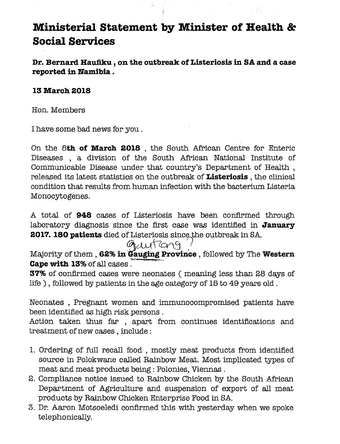### **Ministerial Statement by Minister of Health** *Bc* **Social Services**

**Dr. Bernard Haufiku , on the outbreak of Listeriosis in SA and a case reported in Namibia .**

#### **13 March 2018**

Hon.Members

I have some bad news for you.

On the **8th of March 2018 ,** the South African Centre for Enteric Diseases , a division of the South African National Institute of Communicable Disease under that country's Department of Health , released its latest statistics on the outbreak of **Listeriosis,** the clinical condition that results from human infection with the bacterium Listeria Monocytogenes.

A total of **948** cases of Listeriosis have been confirmed through laboratory diagnosis since the first case was identified in **January 2017. 180 patients** died of Listeriosis since the outbreak in SA.<br>
ALUSCOP

## gauton9

Majority of them, 62% in Gauging Province, followed by The Western **Cape with 13%** of all cases  $\overline{a}$ 

**37%** of confirmed cases were neonates ( meaning less than 28 days of life), followed by patients in the age category of  $15$  to  $49$  years old.

Neonates , Pregnant women and immunocompromised patients have been identified as high risk persons.

Action taken thus far , apart from continues identifications and treatment of new cases, include:

- 1. Ordering of full recall food , mostly meat products from identified source in Polokwane called Rainbow Meat. Most implicated types of meat and meat products being: Polonies, Viennas.
- 2. Compliance notice issued to Rainbow Chicken by the South African Department of Agriculture and suspension of export of all meat products by Rainbow Chicken Enterprise Food in SA.
- 3. Dr. Aaron Motsoeledi confirmed this with yesterday when we spoke telephonically.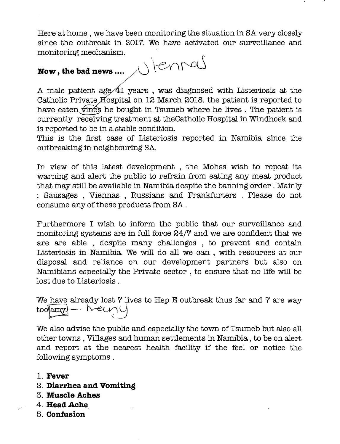Here at home, we have been monitoring the situation in SA very closely since the outbreak in 2017. We have activated our surveillance and monitoring mechanism.

# **Now, the bad news ....**

A male patient age  $41$  years, was diagnosed with Listeriosis at the Catholic Private Hospital on 12 March 2018. the patient is reported to have eaten  $\sin$  is he bought in Tsumeb where he lives. The patient is currently receiving treatment at the Catholic Hospital in Windhoek and is reported to be in a stable condition.

This is the first case of Listeriosis reported in Namibia since the outbreaking in neighbouring SA.

In view of this latest development, the Mohss wish to repeat its warning and alert the public to refrain from eating any meat product that may still be available in Namibia despite the banning order. Mainly ; Sausages , Viennas , Russians and Frankfurters . Please do not consume any of these products from SA.

Furthermore I wish to inform the public that our surveillance and monitoring systems are in full force 24/7 and we are confident that we are are able , despite many challenges , to prevent and contain Listeriosis in Namibia. We will do aJl we can , with resources at our disposal and reliance on our development partners but also on Namibians especially the Private sector, to ensure that no life will be lost due to Listeriosis.

We have already lost 7 lives to Hep E outbreak thus far and 7 are way too<mark>famy.</mark> heimy

We also advise the public and especially the town of Tsumeb but also all other towns, Villages and human settlements in Namibia, to be on alert and report at the nearest health facility if the feel or notice the following symptoms.

- 1. **Fever**
- 2. **Diarrhea and Vomiting**
- 3. **Muscle Aches**
- 4. **HeadAche**
- 5. **Confusion**